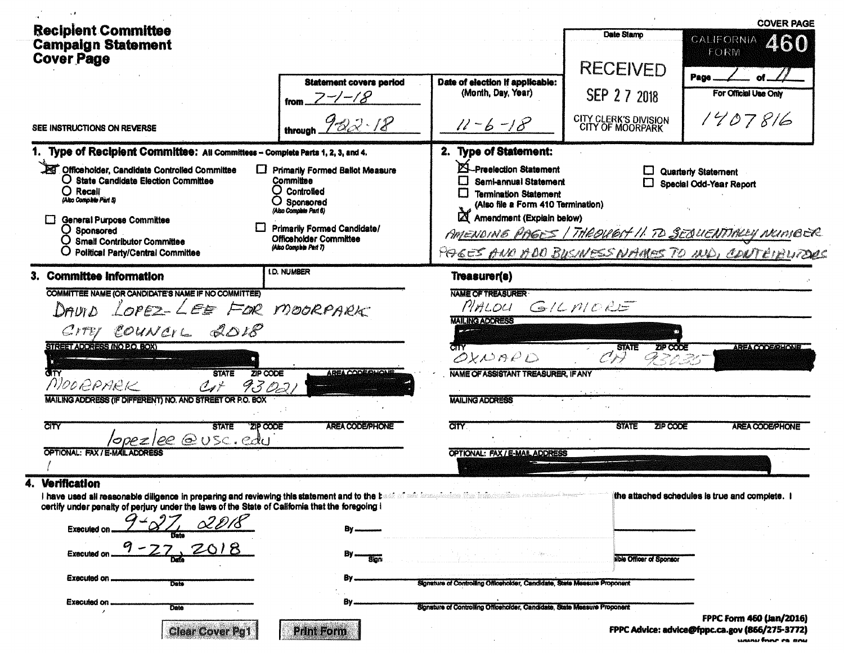|                                                                                                                                                                                                                         |                                                                                                                |                                                                                                                                                        |                                           | <b>COVER PAGE</b>                                                                                        |
|-------------------------------------------------------------------------------------------------------------------------------------------------------------------------------------------------------------------------|----------------------------------------------------------------------------------------------------------------|--------------------------------------------------------------------------------------------------------------------------------------------------------|-------------------------------------------|----------------------------------------------------------------------------------------------------------|
| <b>Recipient Committee</b><br><b>Campaign Statement</b><br><b>Cover Page</b>                                                                                                                                            |                                                                                                                |                                                                                                                                                        | Date Stamp<br><b>RECEIVED</b>             | CALIFORNIA<br>460<br>FORM                                                                                |
|                                                                                                                                                                                                                         | <b>Statement covers period</b><br>$7 - 18$                                                                     | Date of election if applicable:<br>(Month, Day, Year)                                                                                                  | SEP 2 7 2018                              | Page<br>For Official Use Only                                                                            |
| SEE INSTRUCTIONS ON REVERSE                                                                                                                                                                                             | through $982.18$                                                                                               | $11 - 6 - 18$                                                                                                                                          | CITY CLERK'S DIVISION<br>CITY OF MOORPARK | 1407816                                                                                                  |
| Type of Recipient Committee: All Committees - Complete Parts 1, 2, 3, and 4.                                                                                                                                            |                                                                                                                | 2. Type of Statement:                                                                                                                                  |                                           |                                                                                                          |
| Officeholder, Candidate Controlled Committee<br>□<br>O State Candidate Election Committee<br>$O$ Recall<br>(Also Complete Part 5)                                                                                       | <b>Primarily Formed Ballot Measure</b><br>Committee<br>O Controlled<br>$O$ Sponsored<br>(Also Complete Part 6) | Preelection Statement<br>L<br>Semi-annual Statement<br><b>Termination Statement</b><br>(Also file a Form 410 Termination)<br>Amendment (Explain below) | 口                                         | Quarterly Statement<br>Special Odd-Year Report                                                           |
| General Purpose Committee<br>Q Sponsored<br><b>Small Contributor Committee</b><br><b>Political Party/Central Committee</b>                                                                                              | Primarily Formed Candidate/<br><b>Officeholder Committee</b><br>(Also Complete Part 7)                         |                                                                                                                                                        |                                           | AMENDING PAGES   THROUGH II TO SEQUENTIALLY NEINIBER<br>PAGES AND ADD BUSINESS NAMES TO MD, CONTEIBURDOS |
| 3. Committee Information                                                                                                                                                                                                | <b>I.D. NUMBER</b>                                                                                             | Treasurer(s)                                                                                                                                           |                                           |                                                                                                          |
| COMMITTEE NAME (OR CANDIDATE'S NAME IF NO COMMITTEE)<br>LOPEZ-LEE FOR MOORPARK<br>DAUI D                                                                                                                                |                                                                                                                | <b>NAME OF TREASURER</b><br>PIALOU<br><b>MAILING ADDRESS</b>                                                                                           | GILMORE                                   |                                                                                                          |
| CITES COUNCIL 2018<br>STREET ADDRESS (NO P.O. BOX)<br>∕तक<br><b>STATE</b><br>ZIP CODE<br>MOORPARK<br>$C_{1}$<br>9302,                                                                                                   | <b>AREA CODE QUONE</b>                                                                                         | OXNAPD<br>NAME OF ASSISTANT TREASURER. IF ANY                                                                                                          | ZIP CODE<br><b>STATE</b><br>دعريس<br>9722 | <b>AREA CODE/PHONE</b>                                                                                   |
| MAILING ADDRESS (IF DIFFERENT) NO. AND STREET OR P.O. BOX<br>$\overline{\text{C}^{\dagger}}$<br><b>ZIP CODE</b><br><b>STATE</b>                                                                                         | <b>AREA CODE/PHONE</b>                                                                                         | <b>MAILING ADDRESS</b><br><b>CITY</b>                                                                                                                  | ZIP CODE<br><b>STATE</b>                  | <b>AREA CODE/PHONE</b>                                                                                   |
| /opez/ee @USC.edu<br><b>OPTIONAL: FAX / E-MAIL ADDRESS</b>                                                                                                                                                              |                                                                                                                | OPTIONAL: FAX / E-MAIL ADDRESS                                                                                                                         |                                           |                                                                                                          |
| <b>Verification</b><br>I have used all reasonable diligence in preparing and reviewing this statement and to the bi-<br>certify under penalty of perjury under the laws of the State of California that the foregoing i |                                                                                                                | sti of nér krompindske fine bringpolina radni                                                                                                          |                                           | the attached schedules is true and complete. I                                                           |
| <b>Executed or</b><br><b>Executed on</b>                                                                                                                                                                                | <b>Sign</b>                                                                                                    |                                                                                                                                                        | <b>Nble Officer of Sponsor</b>            |                                                                                                          |
| Executed on.<br>Date                                                                                                                                                                                                    |                                                                                                                | Signature of Controlling Officeholder, Candidate, State Measure Proponent                                                                              |                                           |                                                                                                          |
| <b>Executed on</b><br><b>Date</b><br><b>Clear Cover Pg1</b>                                                                                                                                                             | в,<br><b>Print Form</b>                                                                                        | Signature of Controlling Officeholder, Candidate, State Measure Proponent                                                                              |                                           | FPPC Form 460 (Jan/2016)<br>FPPC Advice: advice@fppc.ca.gov (866/275-3772)                               |

unany finne en any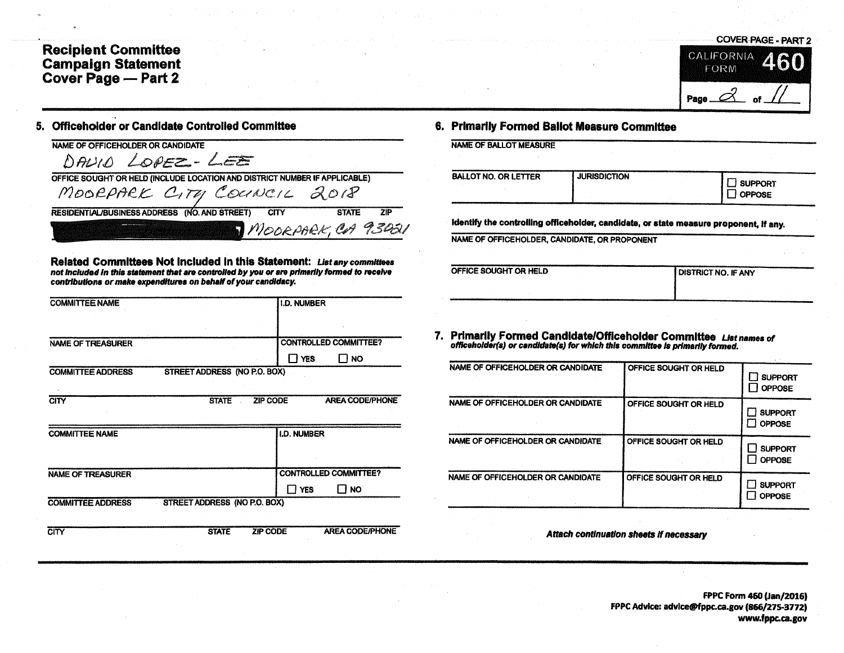## **Recipient Committee Campaign Statement**<br>Cover Page - Part 2

## 5. Officeholder or Candidate Controlled Committee

| NAME OF OFFICEHOLDER OR CANDIDATE                                                          |  |
|--------------------------------------------------------------------------------------------|--|
| DAVID LOPEZ-LEE                                                                            |  |
| OFFICE SOUGHT OR HELD (INCLUDE LOCATION AND DISTRICT NUMBER IF APPLICABLE)                 |  |
| MOORPARK CITY COUNCIL 2018                                                                 |  |
| RESIDENTIAL/BUSINESS ADDRESS (NO. AND STREET)<br><b>CITY</b><br><b>7IP</b><br><b>STATE</b> |  |
| MOORPARK, CA 9345                                                                          |  |

Related Committees Not included in this Statement: List any committees not included in this statement that are controlled by you or are primarily formed to receive contributions or make expenditures on behalf of your candidacy.

| <b>COMMITTEE NAME</b>    |                                     | <b>I.D. NUMBER</b> |                              |
|--------------------------|-------------------------------------|--------------------|------------------------------|
|                          |                                     |                    |                              |
| <b>NAME OF TREASURER</b> |                                     |                    | <b>CONTROLLED COMMITTEE?</b> |
|                          |                                     | $\Box$ yes         | $\Box$ NO                    |
| <b>COMMITTEE ADDRESS</b> | STREET ADDRESS (NO P.O. BOX)        |                    |                              |
|                          |                                     |                    |                              |
| <b>CITY</b>              | <b>STATE</b>                        | <b>ZIP CODE</b>    | <b>AREA CODE/PHONE</b>       |
|                          |                                     |                    |                              |
| <b>COMMITTEE NAME</b>    |                                     | <b>I.D. NUMBER</b> |                              |
|                          |                                     |                    |                              |
|                          |                                     |                    |                              |
| <b>NAME OF TREASURER</b> |                                     |                    | <b>CONTROLLED COMMITTEE?</b> |
|                          |                                     | $\Box$ YES         | П но                         |
| <b>COMMITTEE ADDRESS</b> | <b>STREET ADDRESS (NO P.O. BOX)</b> |                    |                              |
|                          |                                     |                    |                              |
| CITY                     | <b>STATE</b>                        | <b>ZIP CODE</b>    | <b>AREA CODE/PHONE</b>       |

## 6. Primarily Formed Bailot Measure Committee

| <b>BALLOT NO. OR LETTER</b> | <b>JURISDICTION</b> | <b>SUPPORT</b><br><b>OPPOSE</b>                                                       |
|-----------------------------|---------------------|---------------------------------------------------------------------------------------|
|                             |                     | identify the controlling officeholder, candidate, or state measure proponent, if any. |
|                             |                     |                                                                                       |

**COVER PAGE - PART 2** 

. of

6

CALIFORNIA

FORM

Page  $\mathcal{A}$ 

**DISTRICT NO. IF ANY** 

|  | 7. Primarlly Formed Candidate/Officeholder Committee List names of            |  |
|--|-------------------------------------------------------------------------------|--|
|  | officeholder(s) or candidate(s) for which this committee is primarily formed. |  |

| NAME OF OFFICEHOLDER OR CANDIDATE | OFFICE SOUGHT OR HELD | <b>SUPPORT</b><br><b>OPPOSE</b> |
|-----------------------------------|-----------------------|---------------------------------|
| NAME OF OFFICEHOLDER OR CANDIDATE | OFFICE SOUGHT OR HELD | <b>SUPPORT</b><br><b>OPPOSE</b> |
| NAME OF OFFICEHOLDER OR CANDIDATE | OFFICE SOUGHT OR HELD | <b>SUPPORT</b><br><b>OPPOSE</b> |
| NAME OF OFFICEHOLDER OR CANDIDATE | OFFICE SOUGHT OR HELD | <b>SUPPORT</b><br><b>OPPOSE</b> |

Attach continuation sheets if necessary

FPPC Form 460 (Jan/2016) FPPC Advice: advice@fppc.ca.gov (866/275-3772) www.fppc.ca.gov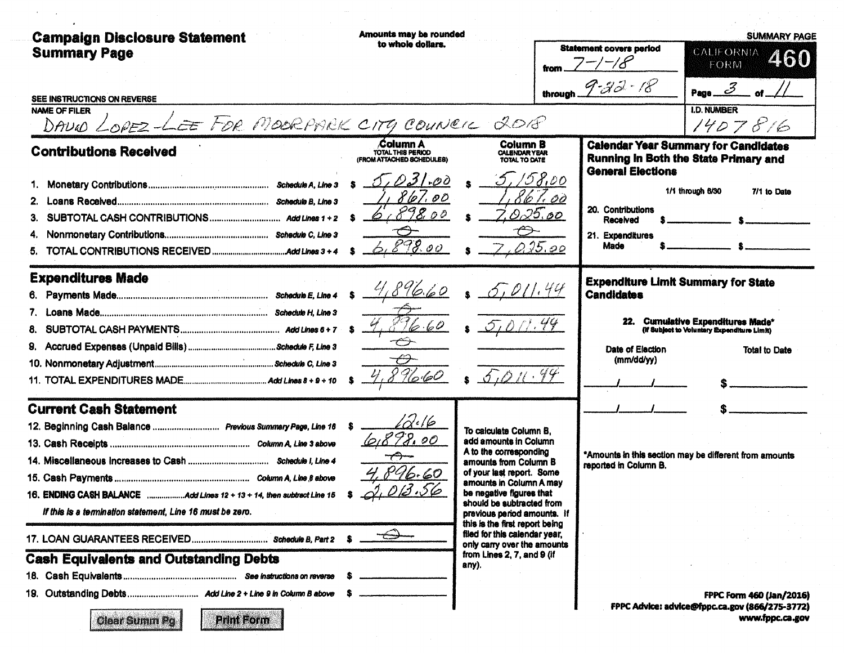| <b>Campaign Disclosure Statement</b><br><b>Summary Page</b>                                           | Amounts may be rounded<br>to whole dollars.                       |                                                                                                | <b>Statement covers period</b><br>from $7^{-/-/8}$ | <b>SUMMARY PAGE</b><br><b>CALIFORNIA</b><br>460<br>FORM                              |  |  |
|-------------------------------------------------------------------------------------------------------|-------------------------------------------------------------------|------------------------------------------------------------------------------------------------|----------------------------------------------------|--------------------------------------------------------------------------------------|--|--|
|                                                                                                       |                                                                   |                                                                                                | through $9-33-18$                                  | $\mathcal{Z}$ of $\blacksquare$<br>Page                                              |  |  |
| SEE INSTRUCTIONS ON REVERSE<br><b>NAME OF FILER</b><br>DAVIO LOPEZ-LEE FOR MOORPARK CITY COUNCIL 2018 |                                                                   |                                                                                                |                                                    | <b>I.D. NUMBER</b><br>1407816                                                        |  |  |
| <b>Contributions Received</b>                                                                         | <b>Column A</b><br>TOTAL THIS PERIOD<br>(FROM ATTACHED SCHEDULES) | <b>Column B</b><br><b>CALENDAR YEAR</b><br>TOTAL TO DATE                                       | <b>General Elections</b>                           | <b>Calendar Year Summary for Candidates</b><br>Running In Both the State Primary and |  |  |
|                                                                                                       | 031.00                                                            | 5, 158,00                                                                                      |                                                    |                                                                                      |  |  |
|                                                                                                       | 86.<br>1,00                                                       | 'to                                                                                            |                                                    | 1/1 through 6/30<br>7/1 to Date                                                      |  |  |
| З.                                                                                                    | 1898.00                                                           | 025.00                                                                                         | 20. Contributions<br>Received                      |                                                                                      |  |  |
| 4,                                                                                                    |                                                                   | $\mathcal{\mathfrak{S}}$                                                                       | 21. Expenditures                                   |                                                                                      |  |  |
|                                                                                                       | 6.898.00                                                          | 0.15.00                                                                                        | Made                                               |                                                                                      |  |  |
| <b>Expenditures Made</b>                                                                              |                                                                   |                                                                                                |                                                    | <b>Expenditure Limit Summary for State</b>                                           |  |  |
|                                                                                                       | 4,896.60                                                          | 6,011.44                                                                                       | <b>Candidates</b>                                  |                                                                                      |  |  |
| 7.                                                                                                    |                                                                   |                                                                                                |                                                    |                                                                                      |  |  |
| 8.                                                                                                    | 96.60                                                             |                                                                                                |                                                    | 22. Cumulative Expenditures Made*<br>(if Subject to Voluntary Expenditure Limit)     |  |  |
| 9.                                                                                                    | ←                                                                 |                                                                                                | Date of Election                                   | <b>Total to Date</b>                                                                 |  |  |
|                                                                                                       | €                                                                 |                                                                                                | (mm/dd/yy)                                         |                                                                                      |  |  |
|                                                                                                       | 89660                                                             |                                                                                                |                                                    |                                                                                      |  |  |
| <b>Current Cash Statement</b>                                                                         |                                                                   |                                                                                                |                                                    |                                                                                      |  |  |
| 12. Beginning Cash Balance  Previous Summary Page, Line 16                                            | $\alpha$ (6                                                       | To calculate Column B,                                                                         |                                                    |                                                                                      |  |  |
|                                                                                                       | 898.00                                                            | add amounts in Column                                                                          |                                                    |                                                                                      |  |  |
|                                                                                                       |                                                                   | A to the corresponding<br>amounts from Column B                                                | reported in Column B.                              | *Amounts in this section may be different from amounts                               |  |  |
| Column A. Line 8 shows                                                                                | 4,896.60                                                          | of your last report. Some                                                                      |                                                    |                                                                                      |  |  |
| 16. ENDING CASH BALANCE Add Lines 12 + 13 + 14, then subtract Line 15                                 | 2,013.56                                                          | amounts in Column A may<br>be negative figures that                                            |                                                    |                                                                                      |  |  |
| If this is a termination statement, Line 16 must be zero.                                             |                                                                   | should be subtracted from<br>previous period amounts. If                                       |                                                    |                                                                                      |  |  |
| 17. LOAN GUARANTEES RECEIVED Schedule B, Part 2                                                       |                                                                   | this is the first report being<br>filed for this calendar year,<br>only carry over the amounts |                                                    |                                                                                      |  |  |
| <b>Cash Equivalents and Outstanding Debts</b>                                                         |                                                                   | from Lines 2, 7, and 9 (if<br>any).                                                            |                                                    |                                                                                      |  |  |
|                                                                                                       |                                                                   |                                                                                                |                                                    |                                                                                      |  |  |
| 19.                                                                                                   |                                                                   |                                                                                                |                                                    | <b>FPPC Form 460 (Jan/2016)</b>                                                      |  |  |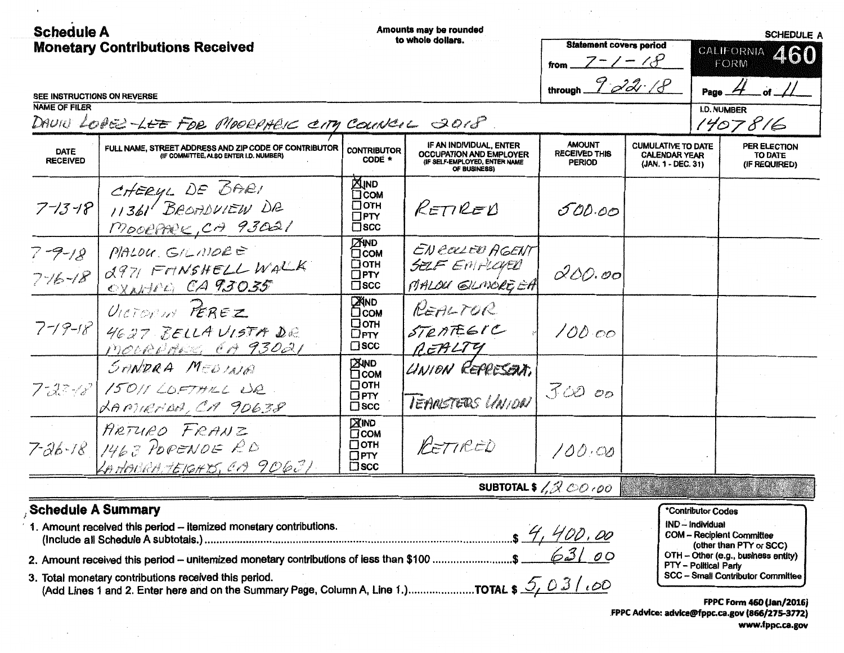| <b>Schedule A</b><br><b>Monetary Contributions Received</b> |                                                                                                 | Amounts may be rounded<br>to whole dollars.                              |                                                                                                            | <b>Statement covers period</b>                                                                  | <b>SCHEDULE A</b><br>CALIFORNIA                                         |                                                                             |                                                                |
|-------------------------------------------------------------|-------------------------------------------------------------------------------------------------|--------------------------------------------------------------------------|------------------------------------------------------------------------------------------------------------|-------------------------------------------------------------------------------------------------|-------------------------------------------------------------------------|-----------------------------------------------------------------------------|----------------------------------------------------------------|
|                                                             |                                                                                                 |                                                                          |                                                                                                            | $7 - 1 - 18$                                                                                    |                                                                         | FORM                                                                        | 460                                                            |
|                                                             |                                                                                                 |                                                                          |                                                                                                            | through $9 - 22 - 18$                                                                           |                                                                         | Page                                                                        | of $\frac{1}{2}$                                               |
| SEE INSTRUCTIONS ON REVERSE<br><b>NAME OF FILER</b>         |                                                                                                 |                                                                          |                                                                                                            |                                                                                                 |                                                                         | <b>I.D. NUMBER</b>                                                          |                                                                |
|                                                             | DAVIU LOBE LEE FOR MOORAHEIC CITY COUNCIL 2018                                                  |                                                                          |                                                                                                            |                                                                                                 |                                                                         |                                                                             | 1407816                                                        |
| <b>DATE</b><br><b>RECEIVED</b>                              | FULL NAME, STREET ADDRESS AND ZIP CODE OF CONTRIBUTOR<br>(IF COMMITTEE, ALSO ENTER I.D. NUMBER) | <b>CONTRIBUTOR</b><br>CODE *                                             | IF AN INDIVIDUAL, ENTER<br><b>OCCUPATION AND EMPLOYER</b><br>(IF SELF-EMPLOYED, ENTER NAME<br>OF BUSINESS) | <b>AMOUNT</b><br><b>RECEIVED THIS</b><br><b>PERIOD</b>                                          | <b>CUMULATIVE TO DATE</b><br><b>CALENDAR YEAR</b><br>(JAN. 1 - DEC. 31) |                                                                             | PER ELECTION<br>TO DATE<br>(IF REQUIRED)                       |
| $7 - 13 - 18$                                               | CHERYL DE BARI<br>11361 BROADVIEW DR<br>MOORARK, CA 93021                                       | <b>XIND</b><br>$\Box$ COM<br>□отн<br>$\Box$ PTY<br>$\square$ scc         | RETIRED                                                                                                    | 500.00                                                                                          |                                                                         |                                                                             |                                                                |
| $7 - 9 - 18$<br>$776 - 18$                                  | MALOU GILMORE<br>2971 FONSHELL WALK<br>OXARICO CA 93035                                         | <b>ZIND</b><br><b>O</b> COM<br>□отн<br>$\square$ PTY<br>$\square$ scc    | EN COLLED AGENT<br>SELF EMPLOYED<br>MALOU GILMORE EA                                                       | 0.00.00                                                                                         |                                                                         |                                                                             |                                                                |
| $7 - 19 - 18$                                               | VICTORIA PEREZ<br>4627 BELLA VISTA DE<br>MOCRUMES EA 93021                                      | <b>ZAND</b><br>Осом<br>□отн<br>$\square$ PTY<br>$\square$ scc            | REALTOR<br>STRATEGIC<br>REALTY                                                                             | 100.00                                                                                          |                                                                         |                                                                             |                                                                |
|                                                             | SANDRA MEDINA<br>7-23-18 15011 LOFTHILL UR.<br>RAPTIENDA, CA 90638                              | <b>EXIND</b><br><b>TCOM</b><br>$\Box$ OTH<br>$\Box$ PTY<br>$\square$ scc | UNION REPRESENT.<br>TEANSTERS LINION                                                                       | 3000                                                                                            |                                                                         |                                                                             |                                                                |
|                                                             | ARTURO FRANZ<br>$7-26-78$ 1463 POPENDE RD<br>LAHABRATEIGHTS, CA 90631                           | <b>XIND</b><br><b>COM</b><br>$\Box$ OTH<br>$\Box$ PTY<br>$\square$ scc   | PETIRED                                                                                                    | 100.00                                                                                          |                                                                         |                                                                             |                                                                |
|                                                             |                                                                                                 |                                                                          |                                                                                                            | SUBTOTAL \$ $\frac{1}{2}$ $\frac{1}{2}$ $\frac{1}{2}$ $\frac{1}{2}$ $\frac{1}{2}$ $\frac{1}{2}$ |                                                                         |                                                                             |                                                                |
|                                                             | <b>Schedule A Summary</b><br>1. Amount received this period - itemized monetary contributions.  |                                                                          |                                                                                                            |                                                                                                 |                                                                         | *Contributor Codes<br>IND - Individual<br><b>COM -- Recipient Committee</b> |                                                                |
|                                                             |                                                                                                 |                                                                          |                                                                                                            |                                                                                                 |                                                                         |                                                                             | (other than PTY or SCC)<br>OTH - Other (e.g., business entity) |
|                                                             |                                                                                                 |                                                                          |                                                                                                            |                                                                                                 |                                                                         | <b>PTY - Political Party</b>                                                | <b>SCC - Small Contributor Committee</b>                       |

 $\bullet$ 

 $\left\langle \cdot \right\rangle$ 

 $\sim$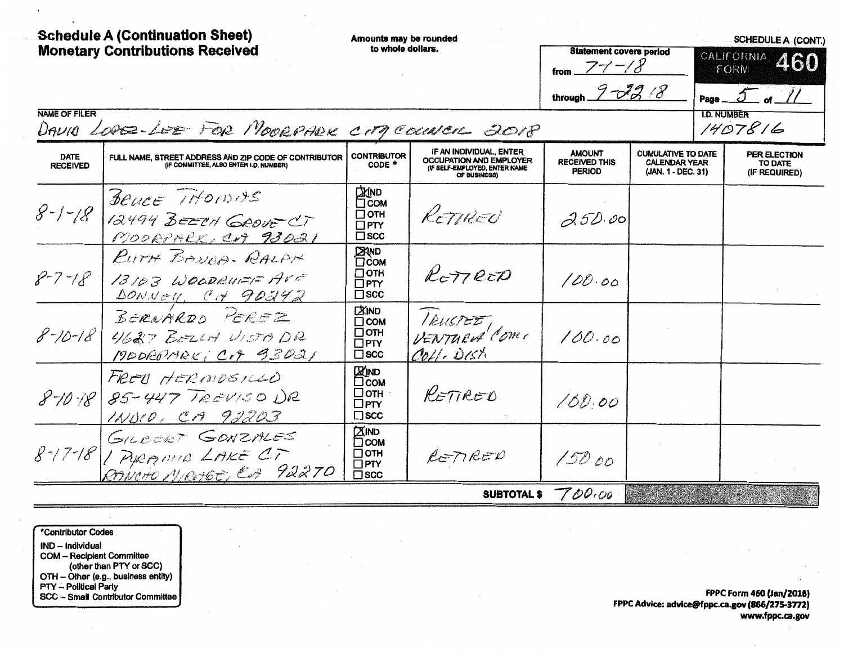| <b>Schedule A (Continuation Sheet)</b><br><b>Monetary Contributions Received</b><br><b>NAME OF FILER</b><br>DAVIO LODE-LEE FOR MOORPARK CITY COUNCIL 2018 |                                                                                                 | Amounts may be rounded<br>to whole dollars.                               |                                                                                                            | <b>Statement covers period</b><br>from $77 - 8$<br>through $2 - 23$ /8 |                                                                         | <b>SCHEDULE A (CONT.)</b><br>CALIFORNIA<br>460<br>FORM<br>$5$ of $\frac{1}{2}$<br>Page __<br><b>I.D. NUMBER</b><br>1407816 |                                          |
|-----------------------------------------------------------------------------------------------------------------------------------------------------------|-------------------------------------------------------------------------------------------------|---------------------------------------------------------------------------|------------------------------------------------------------------------------------------------------------|------------------------------------------------------------------------|-------------------------------------------------------------------------|----------------------------------------------------------------------------------------------------------------------------|------------------------------------------|
| <b>DATE</b><br><b>RECEIVED</b>                                                                                                                            | FULL NAME, STREET ADDRESS AND ZIP CODE OF CONTRIBUTOR<br>(IF COMMITTEE, ALSO ENTER I.D. NUMBER) | <b>CONTRIBUTOR</b><br>CODE *                                              | IF AN INDIVIDUAL, ENTER<br><b>OCCUPATION AND EMPLOYER</b><br>(IF SELF-EMPLOYED, ENTER NAME<br>OF BUSINESS) | <b>AMOUNT</b><br><b>RECEIVED THIS</b><br><b>PERIOD</b>                 | <b>CUMULATIVE TO DATE</b><br><b>CALENDAR YEAR</b><br>(JAN. 1 - DEC. 31) |                                                                                                                            | PER ELECTION<br>TO DATE<br>(IF REQUIRED) |
| $8 - 1 - 18$                                                                                                                                              | Beyce IHOMAS<br>12494 BEETH GROUF CT<br>MOORPARK, CA 93021                                      | <b>CIXIND</b><br>COM<br>$\Box$ OTH<br>$\Box$ PTY<br>$\square$ scc         | RETURED                                                                                                    | 252.00                                                                 |                                                                         |                                                                                                                            |                                          |
| $8 - 7 - 18$                                                                                                                                              | RUTH BANDA-RALAN<br>13103 WOODRUFF AVE<br>DONNEY, CH 90242                                      | <b>EXAND</b><br>$\Box$ OTH<br>$\Box$ PTY<br>$\square$ scc                 | RETTRED                                                                                                    | 100.00                                                                 |                                                                         |                                                                                                                            |                                          |
| $8 - 10 - 18$                                                                                                                                             | BERNARDO PEREZ<br>4627 BELLY VISTADR<br>MODROHAL, CA 93021                                      | <b>DAIND</b><br>$\Box$ COM<br>$\Box$ OTH<br>$\Box$ PTY<br>$\square$ scc   | IEUSTEZ,<br>VENTURA COMI<br>Coll. Dist.                                                                    | 100.00                                                                 |                                                                         |                                                                                                                            |                                          |
| $8 - 10 - 18$                                                                                                                                             | FRED HERMOSILLO<br>$85 - 447$ TREVISO DR<br>1NUID, CA 92203                                     | <b>Z'IND</b><br>□coм<br>□отн<br>$\square$ PTY<br>$\square$ scc            | RETIRED                                                                                                    | 100.00                                                                 |                                                                         |                                                                                                                            |                                          |
|                                                                                                                                                           | GILBERT GONZALES<br>8-17-18 / Apernus LAKE CT<br>RANCHO MIROSOT, ES 92270                       | <b>ZIND</b><br>$\square$ COM<br>$\Box$ OTH<br>$\Box$ PTY<br>$\square$ scc | RETIRED                                                                                                    | 150.00                                                                 |                                                                         |                                                                                                                            |                                          |
|                                                                                                                                                           |                                                                                                 |                                                                           | <b>SUBTOTAL \$</b>                                                                                         | 700.00                                                                 |                                                                         |                                                                                                                            |                                          |

\*Contributor Codes IND - Individual COM - Recipient Committee<br>(other than PTY or SCC) OTH - Other (e.g., business entity)<br>PTY - Political Party<br>SCC - Small Contributor Committee

 $\bullet$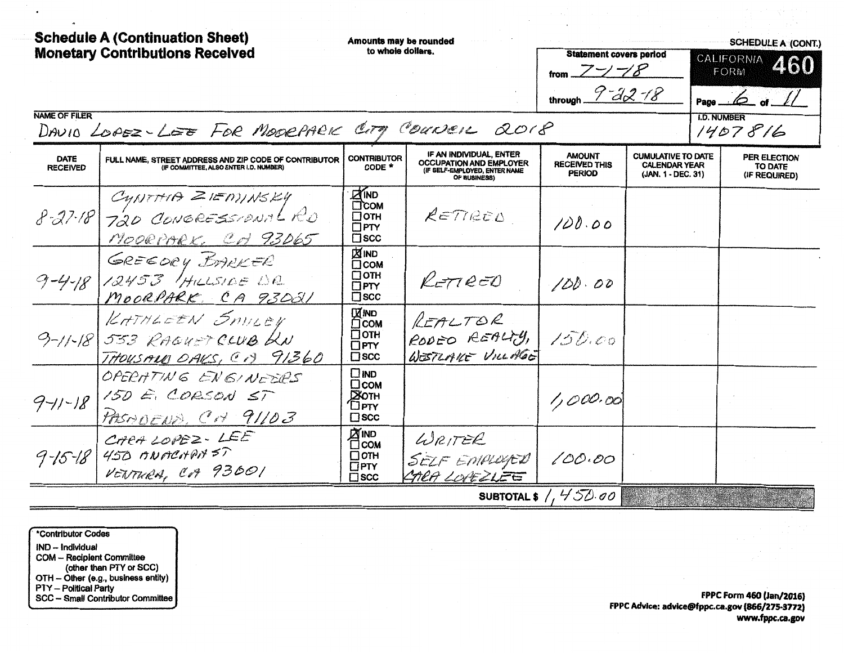| <b>Schedule A (Continuation Sheet)</b> |                                                                                                 | Amounts may be rounded                                                     |                                                                                                            |                                                         |                                                                         |                        | <b>SCHEDULE A (CONT.)</b>                       |
|----------------------------------------|-------------------------------------------------------------------------------------------------|----------------------------------------------------------------------------|------------------------------------------------------------------------------------------------------------|---------------------------------------------------------|-------------------------------------------------------------------------|------------------------|-------------------------------------------------|
|                                        | <b>Monetary Contributions Received</b>                                                          | to whole dollars.                                                          |                                                                                                            | <b>Statement covers period</b><br>from $Z\rightarrow Z$ |                                                                         | CALIFORNIA 460<br>FORM |                                                 |
|                                        |                                                                                                 |                                                                            |                                                                                                            | through $9 - 32 - 18$                                   |                                                                         |                        | Page $\omega$ of $\sqrt{2}$                     |
| <b>NAME OF FILER</b>                   | DAVID LOPEZ-LEE FOR MODEPARK CITY COUNCIL 2018                                                  |                                                                            |                                                                                                            |                                                         |                                                                         | <b>I.D. NUMBER</b>     | 1407816                                         |
| <b>DATE</b><br><b>RECEIVED</b>         | FULL NAME, STREET ADDRESS AND ZIP CODE OF CONTRIBUTOR<br>(IF COMMITTEE, ALSO ENTER I.D. NUMBER) | <b>CONTRIBUTOR</b><br>CODE *                                               | IF AN INDIVIDUAL, ENTER<br><b>OCCUPATION AND EMPLOYER</b><br>(IF SELF-EMPLOYED, ENTER NAME<br>OF BUSINESS) | <b>AMOUNT</b><br><b>RECEIVED THIS</b><br><b>PERIOD</b>  | <b>CUMULATIVE TO DATE</b><br><b>CALENDAR YEAR</b><br>(JAN. 1 - DEC. 31) |                        | <b>PER ELECTION</b><br>TO DATE<br>(IF REQUIRED) |
|                                        | CYNTHIA ZIEANNSKY<br>8-27-18 720 CONGRESSIONAL RO<br>MOORPARK, CH 93065                         | $2$ IND<br><b>COM</b><br>$\Box$ OTH<br>$\Box$ PTY<br>$\square$ scc         | RETTREED                                                                                                   | 100.00                                                  |                                                                         |                        |                                                 |
|                                        | GREEDRY BARKER<br>9-4-18 12453 HILLSIDE DR<br>MOORPARK CA 93021                                 | <b>X IND</b><br><b>COM</b><br>$\Box$ OTH<br>$\Box$ PTY<br>$\square$ scc    | $R$ $=$ $7e$ $=0$                                                                                          | 100.00                                                  |                                                                         |                        |                                                 |
|                                        | KATHLEEN SHILEY<br>9-11-18 533 RAGUET CLUB KN<br>THOUSALO OAKS, CB 91360                        | <b>IX IND</b><br><b>T</b> COM<br>$\Box$ OTH<br>$\Box$ PTY<br>$\square$ scc | REALTOR<br>RODEO REALTY,<br>WESTLAKE VILLAGE                                                               | 150.00                                                  |                                                                         |                        |                                                 |
| $9 - 11 - 18$                          | OPERATING ENGINEERS<br>150 E. CORSON ST<br>PASMOENS. CH 91103                                   | $\square$ IND<br>□сом<br>⊠отн<br><b>OPTY</b><br>$\square$ scc              |                                                                                                            | 1,000.00                                                |                                                                         |                        |                                                 |
|                                        | CARALOPEZ-LEE<br>$9 - 15 - 18$ 450 ONOGENEDS 57<br>VENTURA, CA 93001                            | <b>ZIND</b><br>$\Box$ сом<br>$\Box$ OTH<br>$\Box$ PTY<br>$\square$ scc     | WRITER<br>SELF EMPLOYED<br>CARA LOVEZLEE                                                                   | 100.00                                                  |                                                                         |                        |                                                 |
|                                        |                                                                                                 |                                                                            |                                                                                                            | SUBTOTAL \$ $/$ , $450.00$                              |                                                                         |                        |                                                 |

\*Contributor Codes IND - Individual **COM - Recipient Committee** (other than PTY or SCC)<br>OTH - Other (e.g., business entity)<br>PTY - Political Party SCC - Small Contributor Committee

**FPPC Form 460 (Jan/2016)** FPPC Advice: advice@fppc.ca.gov (866/275-3772) www.fppc.ca.gov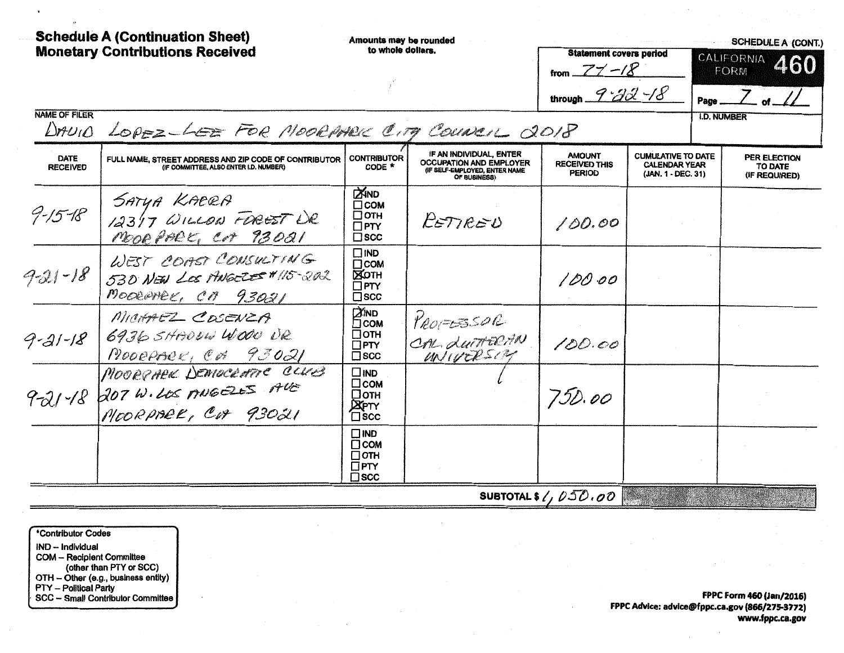| <b>Schedule A (Continuation Sheet)</b><br><b>Monetary Contributions Received</b> |                                                                                                 | Amounts may be rounded<br>to whole dollars.                                |                                                                                                            | <b>Statement covers period</b>                         |                                                                         | <b>SCHEDULE A (CONT.)</b><br>CALIFORNIA 460 |                                          |  |
|----------------------------------------------------------------------------------|-------------------------------------------------------------------------------------------------|----------------------------------------------------------------------------|------------------------------------------------------------------------------------------------------------|--------------------------------------------------------|-------------------------------------------------------------------------|---------------------------------------------|------------------------------------------|--|
|                                                                                  |                                                                                                 |                                                                            |                                                                                                            | from $77 - 18$<br>through $9 - 32 - 18$                |                                                                         | Page                                        | FORM                                     |  |
| <b>NAME OF FILER</b><br>$DnU_1O$                                                 | LOPEZ-LEE FOR MOORMER CITY COUNCIL 2018                                                         |                                                                            |                                                                                                            |                                                        |                                                                         | <b>I.D. NUMBER</b>                          |                                          |  |
| DATE<br><b>RECEIVED</b>                                                          | FULL NAME, STREET ADDRESS AND ZIP CODE OF CONTRIBUTOR<br>(IF COMMITTEE, ALSO ENTER I.D. NUMBER) | <b>CONTRIBUTOR</b><br>CODE *                                               | IF AN INDIVIDUAL, ENTER<br><b>OCCUPATION AND EMPLOYER</b><br>(IF SELF-EMPLOYED, ENTER NAME<br>OF BUSINESS) | <b>AMOUNT</b><br><b>RECEIVED THIS</b><br><b>PERIOD</b> | <b>CUMULATIVE TO DATE</b><br><b>CALENDAR YEAR</b><br>(JAN. 1 - DEC. 31) |                                             | PER ELECTION<br>TO DATE<br>(IF REQUIRED) |  |
| $9 - 15 - 18$                                                                    | SATUA KACRA<br>12317 WILLOW FOREST DR<br>MODE PARK, Cot 93021                                   | <b>ZIND</b><br>$\Box$ COM<br>□отн<br>$\Box$ PTY<br>$\square$ scc           | PETIRED                                                                                                    | 100.00                                                 |                                                                         |                                             |                                          |  |
| $921 - 18$                                                                       | WEST COAST CONSULTING<br>530 NEW LOS MUGELES #115-202<br>MODERNEY, CH 93021                     | $\Box$ iND<br>$\Box$ COM<br><b>EXOTH</b><br>$\square$ PTY<br>$\square$ scc |                                                                                                            | 100.00                                                 |                                                                         |                                             |                                          |  |
| 9-21-18                                                                          | MICHAEZ COSENZA<br>6936 SHADDEN WOOD UR<br>MOORPARK, CA 93021                                   | <b>EXIND</b><br>⊡сом<br>□отн<br>$\Box$ PTY<br>$\square$ scc                | PROPERSOR<br>CAL LUITERAN<br>UNIVERSITY                                                                    | 100.00                                                 |                                                                         |                                             |                                          |  |
| $9 - 21 - 18$                                                                    | MOORPARK DEMOCRATIC CLUB<br>207 W.LOS ANGELES ALE<br>MOORPARK, COP 93021                        | $\square$ IND<br>□сом<br>□отн<br><b>DEPTY</b><br>⊡scc                      |                                                                                                            | 750.00                                                 |                                                                         |                                             |                                          |  |
|                                                                                  |                                                                                                 | $\Box$ IND<br>$\Box$ COM<br>□отн<br>$\square$ PTY<br>$\square$ scc         |                                                                                                            |                                                        |                                                                         |                                             |                                          |  |
|                                                                                  |                                                                                                 |                                                                            |                                                                                                            | SUBTOTAL \$ $\ell$ , $\ell$ 30, 00                     |                                                                         |                                             |                                          |  |

\*Contributor Codes IND - Individual COM - Recipient Committee<br>
(other than PTY or SCC)<br>
OTH - Other (e.g., business entity)<br>
PTY -- Political Party<br>
SCC -- Small Contributor Committee

 $\cdot$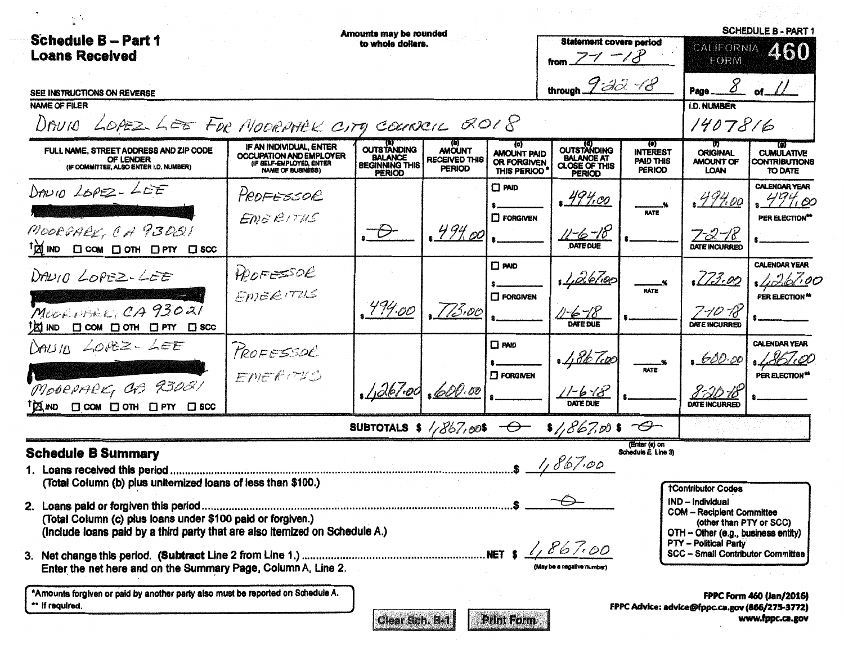| <b>Schedule B - Part 1</b><br><b>Loans Received</b>                                                                                                                                                         |                                                                                                            | <b>Amounts may be rounded</b><br>to whole dollars.                             |                                                        |                                                         | <b>Statement covers period</b>                                                   |                                                      | CALIFORNIA<br>FORM                                                                                                                                                                                 | <b>SCHEDULE B - PART 1</b><br>460                             |
|-------------------------------------------------------------------------------------------------------------------------------------------------------------------------------------------------------------|------------------------------------------------------------------------------------------------------------|--------------------------------------------------------------------------------|--------------------------------------------------------|---------------------------------------------------------|----------------------------------------------------------------------------------|------------------------------------------------------|----------------------------------------------------------------------------------------------------------------------------------------------------------------------------------------------------|---------------------------------------------------------------|
| SEE INSTRUCTIONS ON REVERSE<br><b>NAME OF FILER</b><br>DAVIO LOPEZ LEE FOR MOORPHEK CITY COURSEIL 2018                                                                                                      |                                                                                                            |                                                                                |                                                        |                                                         | through $9 - 32 - 18$                                                            |                                                      | <b>I.D. NUMBER</b><br>1407816                                                                                                                                                                      | $8$ of $11$                                                   |
| FULL NAME, STREET ADDRESS AND ZIP CODE<br>OF LENDER<br>(IF COMMITTEE, ALSO ENTER I.D. NUMBER)                                                                                                               | IF AN INDIVIDUAL, ENTER<br>OCCUPATION AND EMPLOYER<br>(IF SELF-EMPLOYED, ENTER<br><b>NAME OF BUSINESS)</b> | <b>OUTSTANDING</b><br><b>BALANCE</b><br><b>BEGINNING THIS</b><br><b>PERIOD</b> | <b>AMOUNT</b><br><b>RECEIVED THIS</b><br><b>PERIOD</b> | (c)<br><b>AMOUNT PAID</b><br>OR FORGIVEN<br>THIS PERIOD | <b>OUTSTANDING</b><br><b>BALANCE AT</b><br><b>CLOSE OF THIS</b><br><b>PERIOD</b> | TO)<br><b>INTEREST</b><br>PAID THIS<br><b>PERIOD</b> | <b>ORIGINAL</b><br><b>AMOUNT OF</b><br>LOAN                                                                                                                                                        | (C)<br><b>CUMULATIVE</b><br>CONTRIBUTIONS<br>TO DATE          |
| $Dm10 25P2 - 2EE$<br>MOORGARY, CA 93051<br>$\uparrow \mathbb{X}$ in $\square$ com $\square$ on $\square$ for $\square$ scc                                                                                  | PROFESSOR<br>ENGEITHS                                                                                      | - D                                                                            | $.49% \infty$                                          | $\Box$ PAID<br>$\Box$ FORGIVEN                          | <u>, 494.00</u><br>$11 - 6 - 18$                                                 | <b>RATE</b>                                          | .494.00<br>$7 - 2 - 18$<br>DATE INCURRED                                                                                                                                                           | <b>CALENDAR YEAR</b><br>$,49\%$ 00<br>PER ELECTION*           |
| DANIO LOPEZ-LEE<br>MOORNHER CA 93021<br><b>VOIND □ COM □ OTH □ PTY □ SCC</b>                                                                                                                                | APOFESSOR<br>ENERITUS                                                                                      | ,494.00                                                                        | .773.00                                                | $\square$ PAID<br><b>C</b> FORGIVEN                     | <u>, 1, 26/100</u><br>11-6-18<br><b>ATE DUE</b>                                  | <b>RATE</b>                                          | 173.00<br>7-10 FS                                                                                                                                                                                  | <b>CALENDAR YEAR</b><br>1.261.00<br>PER ELECTION <sup>*</sup> |
| DAUID LOVEZ- LEE<br>MODEPARK, CD 93081<br>TAIND □ COM □ OTH □ PTY □ SCC                                                                                                                                     | PROFESSOE<br>ENERITIC                                                                                      | 1,267.00,600.00                                                                |                                                        | $\square$ PAID<br>$\square$ FORGIVEN                    | $1/86$ Top<br>156                                                                | <b>RATE</b>                                          | 600.00<br><b>DATE INCURRET</b>                                                                                                                                                                     | <b>CALENDAR YEAR</b><br>PER ELECTION*                         |
|                                                                                                                                                                                                             |                                                                                                            |                                                                                |                                                        |                                                         | SUBTOTALS \$ /267,00\$ $\rightarrow$ \$ /267,00 \$                               |                                                      |                                                                                                                                                                                                    |                                                               |
| <b>Schedule B Summary</b><br>(Total Column (b) plus uniternized loans of less than \$100.)                                                                                                                  |                                                                                                            |                                                                                |                                                        |                                                         | $.5 - 1,867.00$                                                                  | (Enter (e) on<br>Schedule E. Line 3)                 | <b>TContributor Codes</b>                                                                                                                                                                          |                                                               |
| (Total Column (c) plus loans under \$100 paid or forgiven.)<br>(Include loans paid by a third party that are also itemized on Schedule A.)<br>Enter the net here and on the Summary Page, Column A, Line 2. |                                                                                                            |                                                                                |                                                        |                                                         | 1,867.00<br>(May be a negative numbe                                             |                                                      | IND - Individual<br><b>COM - Recipient Committee</b><br>(other than PTY or SCC)<br>OTH - Other (e.g., business entity)<br><b>PTY - Political Party</b><br><b>SCC - Small Contributor Committee</b> |                                                               |
| *Amounts forgiven or paid by another party also must be reported on Schedule A.                                                                                                                             |                                                                                                            |                                                                                |                                                        |                                                         |                                                                                  |                                                      |                                                                                                                                                                                                    | <b>FPPC Form 460 (Jan/2016)</b>                               |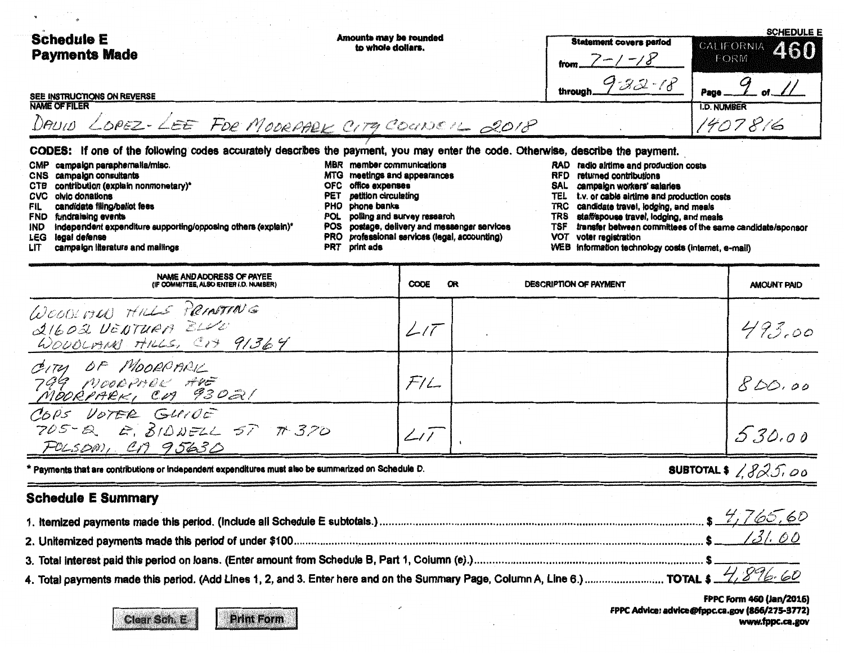| <b>Schedule E</b><br><b>Payments Made</b>                                                                                                                                                                                                                                                                                                                                                                                                                                                                                   | Amounts may be rounded<br>to whole dollars.                                                                                                                                                                                                                                                                                                                 | <b>Statement covers period</b><br>$-18$<br>フーノ                                                                                                                                                                                                                                                                                                                  | <b>SCHEDULE E</b><br>CALIFORNIA 460<br>FORM               |
|-----------------------------------------------------------------------------------------------------------------------------------------------------------------------------------------------------------------------------------------------------------------------------------------------------------------------------------------------------------------------------------------------------------------------------------------------------------------------------------------------------------------------------|-------------------------------------------------------------------------------------------------------------------------------------------------------------------------------------------------------------------------------------------------------------------------------------------------------------------------------------------------------------|-----------------------------------------------------------------------------------------------------------------------------------------------------------------------------------------------------------------------------------------------------------------------------------------------------------------------------------------------------------------|-----------------------------------------------------------|
| SEE INSTRUCTIONS ON REVERSE                                                                                                                                                                                                                                                                                                                                                                                                                                                                                                 |                                                                                                                                                                                                                                                                                                                                                             | $922 - 18$<br>through                                                                                                                                                                                                                                                                                                                                           | Page                                                      |
| <b>NAME OF FILER</b><br>DAVID LOPEZ-LEE FOR MODRAPLE CITY COUNCIL 2018                                                                                                                                                                                                                                                                                                                                                                                                                                                      |                                                                                                                                                                                                                                                                                                                                                             |                                                                                                                                                                                                                                                                                                                                                                 | <b>I.D. NUMBER</b><br>1407816                             |
| CODES: If one of the following codes accurately describes the payment, you may enter the code. Otherwise, describe the payment.<br>campaign paraphernalia/misc.<br><b>CMP</b><br>campaign consultants<br>CNS<br>contribution (explain nonmonetary)*<br>CTB<br>CVC.<br>civic donations<br>candidate filing/ballot fees<br>FIL.<br>fundraising events<br><b>FND</b><br>independent expenditure supporting/opposing others (explain)*<br><b>IND</b><br>legal defense<br><b>LEG</b><br>campaign literature and mailings<br>LIT. | member communications<br><b>MBR</b><br>meetings and appearances<br><b>MTG</b><br>office expenses<br>OFC.<br>petition circulating<br>PET<br>phone banks<br>PHO.<br>polling and survey research<br><b>POL</b><br>postage, delivery and messenger services<br><b>POS</b><br>professional services (legal, accounting)<br><b>PRO</b><br>print ads<br><b>PRT</b> | RAD radio airtime and production costs<br>RFD.<br>returned contributions<br>campaign workers' salaries<br>SAL<br>t.v. or cable airtime and production costs<br>TEL<br>candidate travel, lodging, and meals<br>TRC<br>staff/spouse travel, lodging, and meals<br>TRS.<br>TSF<br>VOT<br>voter registration<br>WEB information technology costs (internet, e-mail) | transfer between committees of the same candidate/sponsor |

| NAME AND ADDRESS OF PAYEE<br>(IF COMMITTEE, ALSO ENTER I.D. NUMBER)                                  | <b>CODE</b> | œ<br>DESCRIPTION OF PAYMENT | <b>AMOUNT PAID</b>    |
|------------------------------------------------------------------------------------------------------|-------------|-----------------------------|-----------------------|
| WOODLAND HILLS PRINTING<br>21602 VENTURA BLUC<br>WOUDLAIN HILLS, CIT 91364                           | L/T         |                             | 493.00                |
| CITY OF MOORPARK                                                                                     | F/L         |                             | 800.00                |
| COPS VOTER GUIDE<br>$705 - 8$ $E. 8100522 57 7370$<br>FOLSOM, CA 95630                               |             |                             | 5.30.00               |
| * Payments that are contributions or independent expenditures must also be summarized on Schedule D. |             |                             | SUBTOTAL \$ $1825.00$ |

## **Schedule E Summary**

|                                                                                                                                       | 1,165,60 |
|---------------------------------------------------------------------------------------------------------------------------------------|----------|
|                                                                                                                                       | /31.00   |
|                                                                                                                                       |          |
|                                                                                                                                       |          |
| 4. Total payments made this period. (Add Lines 1, 2, and 3. Enter here and on the Summary Page, Column A, Line 6.)  TOTAL \$ 4,896.60 |          |

FPPC Form 460 (Jan/2016) FPPC Advice: advice@fppc.ca.gov (866/275-3772) www.fppc.ca.gov

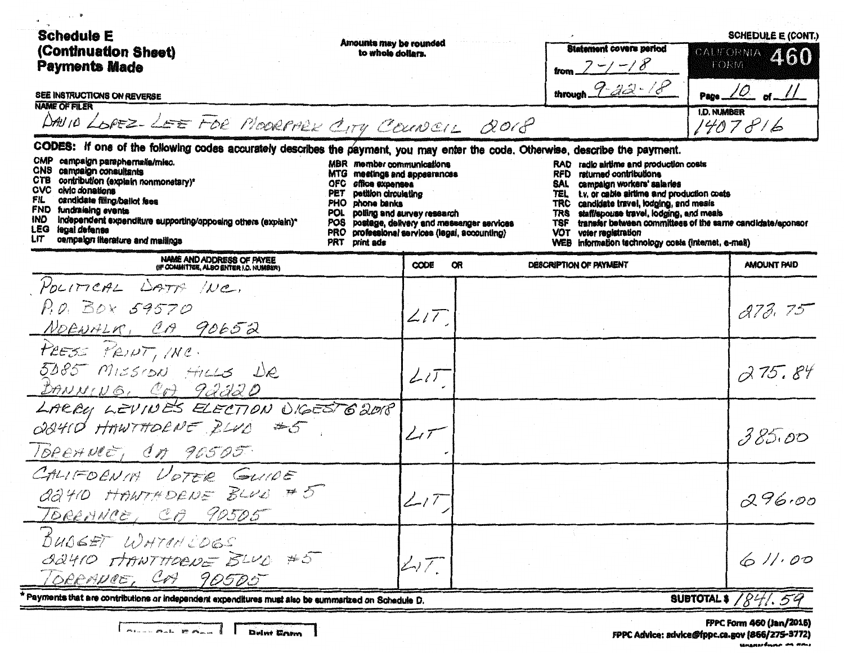| <b>Schedule E</b><br>(Continuation Sheet)<br><b>Payments Made</b><br>SEE INSTRUCTIONS ON REVERSE<br><b>NAME OF FILER</b><br>DAVID LOPEZ-LEE FOR MOORPALK CITY COUNCIL QOIP                                                                                                                                                                                                                                                                                                                                                                         | Amounts may be rounded<br>to whole dollars.                                                                                                                                                                                                              | <b>Statement covers period</b><br>trom $7 - 7 - 8$<br>through $9-42-18$                                                                                                                                                                                                                                                                                                                                                                                           | <b>SCHEDULE E (CONT.)</b><br>CALIFORNIA 460<br>TORM<br>Page $\angle$ of $\angle$<br><b>I.D. NUMBER</b><br>1407816 |
|----------------------------------------------------------------------------------------------------------------------------------------------------------------------------------------------------------------------------------------------------------------------------------------------------------------------------------------------------------------------------------------------------------------------------------------------------------------------------------------------------------------------------------------------------|----------------------------------------------------------------------------------------------------------------------------------------------------------------------------------------------------------------------------------------------------------|-------------------------------------------------------------------------------------------------------------------------------------------------------------------------------------------------------------------------------------------------------------------------------------------------------------------------------------------------------------------------------------------------------------------------------------------------------------------|-------------------------------------------------------------------------------------------------------------------|
| CODES: if one of the following codes accurately describes the payment, you may enter the code. Otherwise, describe the payment.<br>CMP<br>campaign paraphernalia/misc.<br>CNS.<br>campaign consultants<br>MTG<br>contribution (explain nonmonetary)*<br>ств<br>OFC<br>CVC olvic donations<br>PET<br>candidate filing/ballot fees<br>FIL<br>PHO<br>FND fundraising events<br>POL.<br>IND.<br>independent expenditure supporting/opposing others (explain)*<br>POS.<br>LEG<br>legal defense<br><b>PRO</b><br>campaign literature and mailings<br>LIT | MBR member communications<br>meetings and appearances<br>office expenses<br>petition circulating<br>phone banks<br>polling and survey research<br>postage, delivery and messenger services<br>professional services (legal, accounting)<br>PRT print ads | RAD radio airtime and production costs<br>returned contributions<br>RFD<br><b>SAL</b><br>campaign workers' salaries<br>t.v. or cable airlime and production costs<br>TEL.<br>candidate travel, lodging, and meals<br><b>TRC</b><br>staff/spouse travel, lodging, and meals<br><b>TRS</b><br>transfer between committees of the same candidate/sponsor<br><b>TSF</b><br>voter registration<br>VOT<br>information technology costs (internet, e-mail)<br><b>WEB</b> |                                                                                                                   |
| NAME AND ADDRESS OF PAYEE<br>(IF COMMITTEE, ALSO ENTER I.D. NUMBER)                                                                                                                                                                                                                                                                                                                                                                                                                                                                                | CODE<br>œ                                                                                                                                                                                                                                                | DESCRIPTION OF PAYMENT                                                                                                                                                                                                                                                                                                                                                                                                                                            | AMOUNT PAID                                                                                                       |
| POLITICAL DATA INC.<br>P.O. BOX 59570<br>NORWALK, CA 90652                                                                                                                                                                                                                                                                                                                                                                                                                                                                                         | 2.17                                                                                                                                                                                                                                                     |                                                                                                                                                                                                                                                                                                                                                                                                                                                                   | 273.75                                                                                                            |
| PRESS PRINT, INC.<br>5085 MISSION HILLS DR<br>DANNING, CA 92220                                                                                                                                                                                                                                                                                                                                                                                                                                                                                    | $L\iota\overline{\iota}$                                                                                                                                                                                                                                 |                                                                                                                                                                                                                                                                                                                                                                                                                                                                   | 275.84                                                                                                            |
| LACRU LEVINES ELECTION UIGESTG2018<br>QQ410 HAWTHORNE BLVD #5<br>TOREAVECT CA 90505                                                                                                                                                                                                                                                                                                                                                                                                                                                                | $\angle$ i $\tau^-$                                                                                                                                                                                                                                      |                                                                                                                                                                                                                                                                                                                                                                                                                                                                   | 385.00                                                                                                            |
| CALIFORNIA VOTER GUIDE<br>adtro HANTHORNE BLUD # 5<br>IDREHNCE, CA 90505                                                                                                                                                                                                                                                                                                                                                                                                                                                                           | $\angle$ 17                                                                                                                                                                                                                                              |                                                                                                                                                                                                                                                                                                                                                                                                                                                                   | 296.00                                                                                                            |
| BUDGET WHTEN COGS<br>OUTIO HANTHOONE BLUD #5<br>ORRANCE, COA 90505                                                                                                                                                                                                                                                                                                                                                                                                                                                                                 | $\mathbb{Z}$                                                                                                                                                                                                                                             |                                                                                                                                                                                                                                                                                                                                                                                                                                                                   | 611.00                                                                                                            |
| Payments that are contributions or independent expenditures must also be summarized on Schedule D.                                                                                                                                                                                                                                                                                                                                                                                                                                                 |                                                                                                                                                                                                                                                          |                                                                                                                                                                                                                                                                                                                                                                                                                                                                   | <b>SUBTOTAL \$ /841.54</b>                                                                                        |

**HALL** 

F